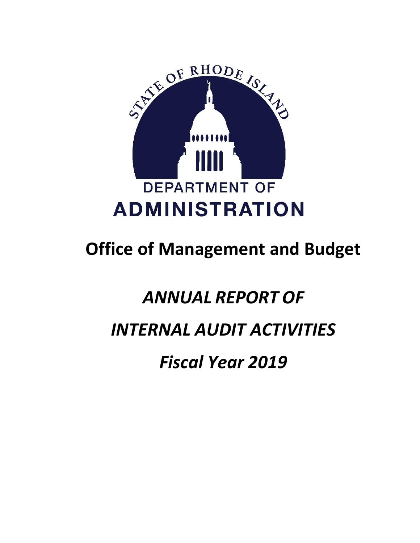

# **Office of Management and Budget**

# *ANNUAL REPORT OF*

# *INTERNAL AUDIT ACTIVITIES*

*Fiscal Year 2019*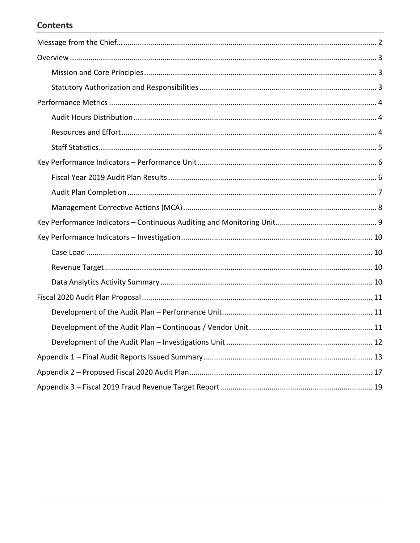# **Contents**

<span id="page-1-0"></span>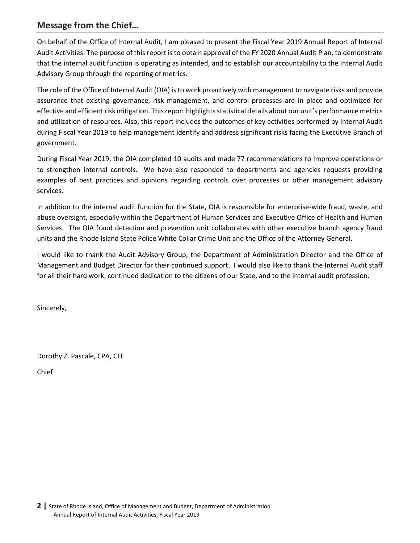# **Message from the Chief…**

On behalf of the Office of Internal Audit, I am pleased to present the Fiscal Year 2019 Annual Report of Internal Audit Activities. The purpose of this report is to obtain approval of the FY 2020 Annual Audit Plan, to demonstrate that the internal audit function is operating as intended, and to establish our accountability to the Internal Audit Advisory Group through the reporting of metrics.

The role of the Office of Internal Audit (OIA) is to work proactively with management to navigate risks and provide assurance that existing governance, risk management, and control processes are in place and optimized for effective and efficient risk mitigation. This report highlights statistical details about our unit's performance metrics and utilization of resources. Also, this report includes the outcomes of key activities performed by Internal Audit during Fiscal Year 2019 to help management identify and address significant risks facing the Executive Branch of government.

During Fiscal Year 2019, the OIA completed 10 audits and made 77 recommendations to improve operations or to strengthen internal controls. We have also responded to departments and agencies requests providing examples of best practices and opinions regarding controls over processes or other management advisory services.

In addition to the internal audit function for the State, OIA is responsible for enterprise-wide fraud, waste, and abuse oversight, especially within the Department of Human Services and Executive Office of Health and Human Services. The OIA fraud detection and prevention unit collaborates with other executive branch agency fraud units and the Rhode Island State Police White Collar Crime Unit and the Office of the Attorney General.

I would like to thank the Audit Advisory Group, the Department of Administration Director and the Office of Management and Budget Director for their continued support. I would also like to thank the Internal Audit staff for all their hard work, continued dedication to the citizens of our State, and to the internal audit profession.

Sincerely,

Dorothy Z. Pascale, CPA, CFF

Chief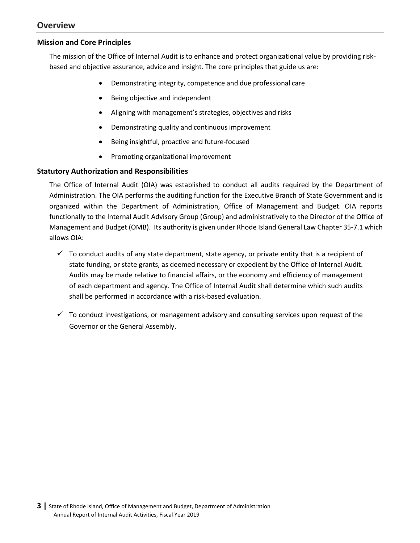# <span id="page-3-0"></span>**Overview**

#### <span id="page-3-1"></span>**Mission and Core Principles**

The mission of the Office of Internal Audit is to enhance and protect organizational value by providing riskbased and objective assurance, advice and insight. The core principles that guide us are:

- Demonstrating integrity, competence and due professional care
- Being objective and independent
- Aligning with management's strategies, objectives and risks
- Demonstrating quality and continuous improvement
- Being insightful, proactive and future-focused
- Promoting organizational improvement

#### <span id="page-3-2"></span>**Statutory Authorization and Responsibilities**

The Office of Internal Audit (OIA) was established to conduct all audits required by the Department of Administration. The OIA performs the auditing function for the Executive Branch of State Government and is organized within the Department of Administration, Office of Management and Budget. OIA reports functionally to the Internal Audit Advisory Group (Group) and administratively to the Director of the Office of Management and Budget (OMB). Its authority is given under [Rhode Island General Law Chapter 35-7.1](http://webserver.rilin.state.ri.us/Statutes/TITLE35/35-7.1/INDEX.HTM) which allows OIA:

- $\checkmark$  To conduct audits of any state department, state agency, or private entity that is a recipient of state funding, or state grants, as deemed necessary or expedient by the Office of Internal Audit. Audits may be made relative to financial affairs, or the economy and efficiency of management of each department and agency. The Office of Internal Audit shall determine which such audits shall be performed in accordance with a risk-based evaluation.
- $\checkmark$  To conduct investigations, or management advisory and consulting services upon request of the Governor or the General Assembly.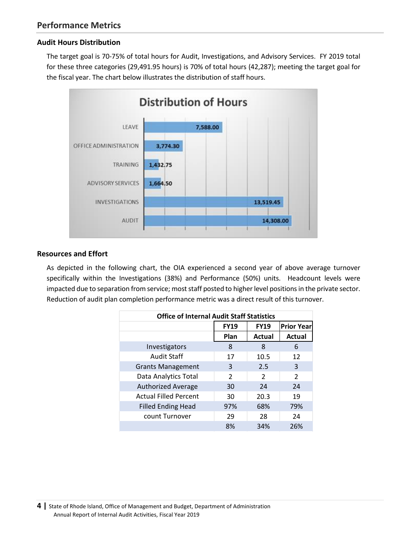# <span id="page-4-1"></span><span id="page-4-0"></span>**Audit Hours Distribution**

The target goal is 70-75% of total hours for Audit, Investigations, and Advisory Services. FY 2019 total for these three categories (29,491.95 hours) is 70% of total hours (42,287); meeting the target goal for the fiscal year. The chart below illustrates the distribution of staff hours.



#### <span id="page-4-2"></span>**Resources and Effort**

As depicted in the following chart, the OIA experienced a second year of above average turnover specifically within the Investigations (38%) and Performance (50%) units. Headcount levels were impacted due to separation from service; most staff posted to higher level positions in the private sector. Reduction of audit plan completion performance metric was a direct result of this turnover.

| <b>Office of Internal Audit Staff Statistics</b> |               |               |                   |  |  |
|--------------------------------------------------|---------------|---------------|-------------------|--|--|
|                                                  | <b>FY19</b>   | <b>FY19</b>   | <b>Prior Year</b> |  |  |
|                                                  | Plan          | <b>Actual</b> | Actual            |  |  |
| Investigators                                    | 8             | 8             | 6                 |  |  |
| <b>Audit Staff</b>                               | 17            | 10.5          | 12                |  |  |
| <b>Grants Management</b>                         | 3             | 2.5           | 3                 |  |  |
| Data Analytics Total                             | $\mathcal{P}$ | $\mathcal{P}$ | $\mathcal{P}$     |  |  |
| <b>Authorized Average</b>                        | 30            | 24            | 24                |  |  |
| <b>Actual Filled Percent</b>                     | 30            | 20.3          | 19                |  |  |
| <b>Filled Ending Head</b>                        | 97%           | 68%           | 79%               |  |  |
| count Turnover                                   | 29            | 28            | 24                |  |  |
|                                                  | 8%            | 34%           | 26%               |  |  |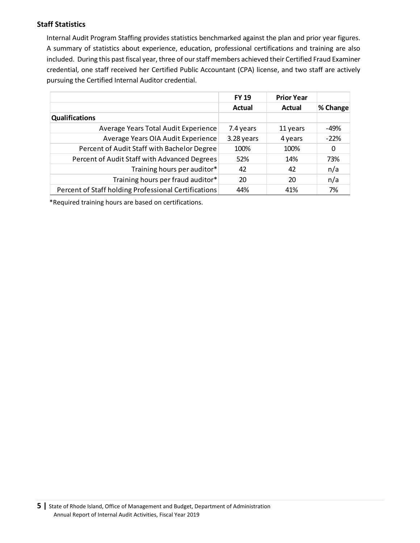# <span id="page-5-0"></span>**Staff Statistics**

Internal Audit Program Staffing provides statistics benchmarked against the plan and prior year figures. A summary of statistics about experience, education, professional certifications and training are also included. During this past fiscal year, three of our staff members achieved their Certified Fraud Examiner credential, one staff received her Certified Public Accountant (CPA) license, and two staff are actively pursuing the Certified Internal Auditor credential.

|                                                      | <b>FY 19</b> | <b>Prior Year</b> |          |
|------------------------------------------------------|--------------|-------------------|----------|
|                                                      | Actual       | Actual            | % Change |
| <b>Qualifications</b>                                |              |                   |          |
| Average Years Total Audit Experience                 | 7.4 years    | 11 years          | -49%     |
| Average Years OIA Audit Experience                   | 3.28 years   | 4 years           | $-22%$   |
| Percent of Audit Staff with Bachelor Degree          | 100%         | 100%              | 0        |
| Percent of Audit Staff with Advanced Degrees         | 52%          | 14%               | 73%      |
| Training hours per auditor*                          | 42           | 42                | n/a      |
| Training hours per fraud auditor*                    | 20           | 20                | n/a      |
| Percent of Staff holding Professional Certifications | 44%          | 41%               | 7%       |

\*Required training hours are based on certifications.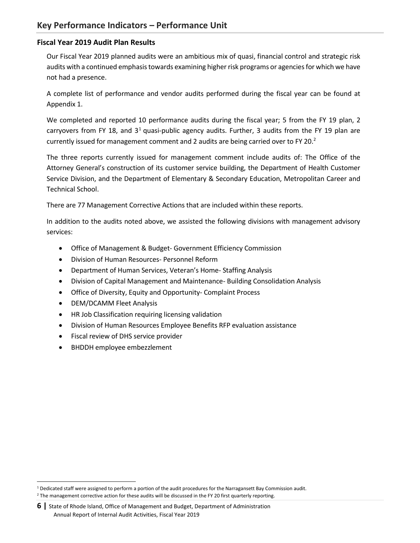# <span id="page-6-1"></span><span id="page-6-0"></span>**Fiscal Year 2019 Audit Plan Results**

Our Fiscal Year 2019 planned audits were an ambitious mix of quasi, financial control and strategic risk audits with a continued emphasis towards examining higher risk programs or agencies for which we have not had a presence.

A complete list of performance and vendor audits performed during the fiscal year can be found at Appendix 1.

We completed and reported 10 performance audits during the fiscal year; 5 from the FY 19 plan, 2 carryovers from FY 18, and  $3<sup>1</sup>$  quasi-public agency audits. Further, 3 audits from the FY 19 plan are currently issued for management comment and 2 audits are being carried over to FY 20.<sup>2</sup>

The three reports currently issued for management comment include audits of: The Office of the Attorney General's construction of its customer service building, the Department of Health Customer Service Division, and the Department of Elementary & Secondary Education, Metropolitan Career and Technical School.

There are 77 Management Corrective Actions that are included within these reports.

In addition to the audits noted above, we assisted the following divisions with management advisory services:

- Office of Management & Budget- Government Efficiency Commission
- Division of Human Resources- Personnel Reform
- Department of Human Services, Veteran's Home- Staffing Analysis
- Division of Capital Management and Maintenance- Building Consolidation Analysis
- Office of Diversity, Equity and Opportunity- Complaint Process
- DEM/DCAMM Fleet Analysis
- HR Job Classification requiring licensing validation
- Division of Human Resources Employee Benefits RFP evaluation assistance
- Fiscal review of DHS service provider
- BHDDH employee embezzlement

 $\overline{a}$ 

<sup>1</sup> Dedicated staff were assigned to perform a portion of the audit procedures for the Narragansett Bay Commission audit.

<sup>&</sup>lt;sup>2</sup> The management corrective action for these audits will be discussed in the FY 20 first quarterly reporting.

**<sup>6</sup> |** State of Rhode Island, Office of Management and Budget, Department of Administration Annual Report of Internal Audit Activities, Fiscal Year 2019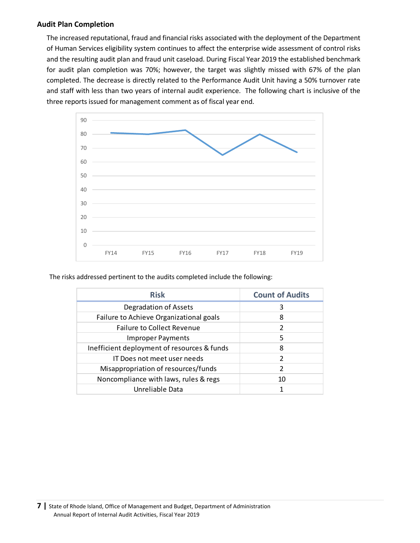#### <span id="page-7-0"></span>**Audit Plan Completion**

The increased reputational, fraud and financial risks associated with the deployment of the Department of Human Services eligibility system continues to affect the enterprise wide assessment of control risks and the resulting audit plan and fraud unit caseload. During Fiscal Year 2019 the established benchmark for audit plan completion was 70%; however, the target was slightly missed with 67% of the plan completed. The decrease is directly related to the Performance Audit Unit having a 50% turnover rate and staff with less than two years of internal audit experience. The following chart is inclusive of the three reports issued for management comment as of fiscal year end.



The risks addressed pertinent to the audits completed include the following:

| <b>Risk</b>                                 | <b>Count of Audits</b> |
|---------------------------------------------|------------------------|
| <b>Degradation of Assets</b>                | 3                      |
| Failure to Achieve Organizational goals     | 8                      |
| <b>Failure to Collect Revenue</b>           | $\mathfrak{D}$         |
| <b>Improper Payments</b>                    | 5                      |
| Inefficient deployment of resources & funds | 8                      |
| IT Does not meet user needs                 | $\overline{2}$         |
| Misappropriation of resources/funds         | $\mathcal{P}$          |
| Noncompliance with laws, rules & regs       | 10                     |
| Unreliable Data                             |                        |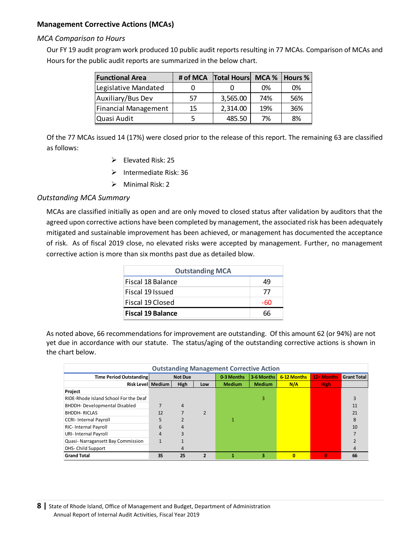# <span id="page-8-0"></span>**Management Corrective Actions (MCAs)**

#### *MCA Comparison to Hours*

Our FY 19 audit program work produced 10 public audit reports resulting in 77 MCAs. Comparison of MCAs and Hours for the public audit reports are summarized in the below chart.

| <b>Functional Area</b> | # of MCA | <b>Total Hours</b> |     | MCA %   Hours % |
|------------------------|----------|--------------------|-----|-----------------|
| Legislative Mandated   |          |                    | 0%  | 0%              |
| Auxiliary/Bus Dev      | 57       | 3,565.00           | 74% | 56%             |
| Financial Management   | 15       | 2,314.00           | 19% | 36%             |
| Quasi Audit            |          | 485.50             | 7%  | 8%              |

Of the 77 MCAs issued 14 (17%) were closed prior to the release of this report. The remaining 63 are classified as follows:

- $\triangleright$  Elevated Risk: 25
- ➢ Intermediate Risk: 36
- ➢ Minimal Risk: 2

# *Outstanding MCA Summary*

MCAs are classified initially as open and are only moved to closed status after validation by auditors that the agreed upon corrective actions have been completed by management, the associated risk has been adequately mitigated and sustainable improvement has been achieved, or management has documented the acceptance of risk. As of fiscal 2019 close, no elevated risks were accepted by management. Further, no management corrective action is more than six months past due as detailed blow.

| <b>Outstanding MCA</b>   |     |  |  |  |
|--------------------------|-----|--|--|--|
| Fiscal 18 Balance        | 49  |  |  |  |
| Fiscal 19 Issued         | 77  |  |  |  |
| Fiscal 19 Closed         | -60 |  |  |  |
| <b>Fiscal 19 Balance</b> |     |  |  |  |

As noted above, 66 recommendations for improvement are outstanding. Of this amount 62 (or 94%) are not yet due in accordance with our statute. The status/aging of the outstanding corrective actions is shown in the chart below.

| <b>Outstanding Management Corrective Action</b> |                             |                |                         |               |               |             |              |                    |
|-------------------------------------------------|-----------------------------|----------------|-------------------------|---------------|---------------|-------------|--------------|--------------------|
| Time Period Outstanding                         |                             | <b>Not Due</b> |                         | 0-3 Months    | 3-6 Months    | 6-12 Months | 12+ Months   | <b>Grant Total</b> |
|                                                 | <b>Risk Levell Medium I</b> | <b>High</b>    | Low                     | <b>Medium</b> | <b>Medium</b> | N/A         | <b>High</b>  |                    |
| Project                                         |                             |                |                         |               |               |             |              |                    |
| RIDE-Rhode Island School For the Deaf           |                             |                |                         |               | 3             |             |              |                    |
| <b>BHDDH-Developmental Disabled</b>             |                             | 4              |                         |               |               |             |              | 11                 |
| <b>BHDDH-RICLAS</b>                             | 12                          |                | $\mathcal{P}$           |               |               |             |              | 21                 |
| <b>CCRI-Internal Payroll</b>                    | 5                           |                |                         |               |               |             |              | 8                  |
| <b>RIC-Internal Payroll</b>                     | 6                           | 4              |                         |               |               |             |              | 10                 |
| URI- Internal Payroll                           | 4                           |                |                         |               |               |             |              |                    |
| Quasi-Narragansett Bay Commission               |                             |                |                         |               |               |             |              |                    |
| DHS- Child Support                              |                             | 4              |                         |               |               |             |              | 4                  |
| <b>Grand Total</b>                              | 35                          | 25             | $\overline{\mathbf{z}}$ | 1             | 3             | $\bf{0}$    | $\mathbf{0}$ | 66                 |

<span id="page-8-1"></span>**8 |** State of Rhode Island, Office of Management and Budget, Department of Administration Annual Report of Internal Audit Activities, Fiscal Year 2019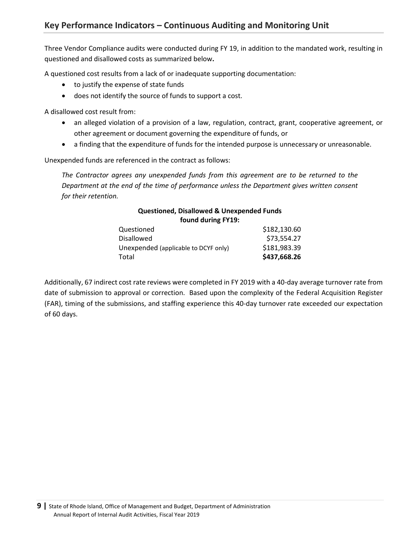Three Vendor Compliance audits were conducted during FY 19, in addition to the mandated work, resulting in questioned and disallowed costs as summarized below**.** 

A questioned cost results from a lack of or inadequate supporting documentation:

- to justify the expense of state funds
- does not identify the source of funds to support a cost.

A disallowed cost result from:

- an alleged violation of a provision of a law, regulation, contract, grant, cooperative agreement, or other agreement or document governing the expenditure of funds, or
- a finding that the expenditure of funds for the intended purpose is unnecessary or unreasonable.

Unexpended funds are referenced in the contract as follows:

*The Contractor agrees any unexpended funds from this agreement are to be returned to the Department at the end of the time of performance unless the Department gives written consent for their retention.*

# **Questioned, Disallowed & Unexpended Funds found during FY19:**

| Questioned                           | \$182,130.60 |
|--------------------------------------|--------------|
| <b>Disallowed</b>                    | \$73,554.27  |
| Unexpended (applicable to DCYF only) | \$181,983.39 |
| Total                                | \$437,668.26 |

Additionally, 67 indirect cost rate reviews were completed in FY 2019 with a 40-day average turnover rate from date of submission to approval or correction. Based upon the complexity of the Federal Acquisition Register (FAR), timing of the submissions, and staffing experience this 40-day turnover rate exceeded our expectation of 60 days.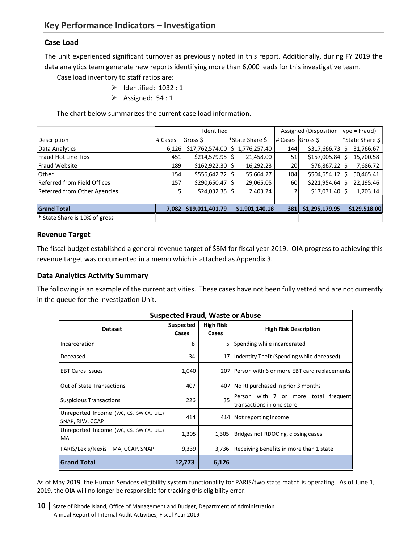# <span id="page-10-1"></span><span id="page-10-0"></span>**Case Load**

The unit experienced significant turnover as previously noted in this report. Additionally, during FY 2019 the data analytics team generate new reports identifying more than 6,000 leads for this investigative team.

Case load inventory to staff ratios are:

- $\triangleright$  Identified: 1032 : 1
	- ➢ Assigned: 54 : 1

The chart below summarizes the current case load information.

|                                          | Identified |                  |                   |                  | Assigned (Disposition Type = Fraud) |                 |  |
|------------------------------------------|------------|------------------|-------------------|------------------|-------------------------------------|-----------------|--|
| Description                              | # Cases    | Gross \$         | *State Share \$   | # Cases Gross \$ |                                     | *State Share \$ |  |
| Data Analytics                           | 6,126      | \$17,762,574.00  | 1,776,257.40<br>S | 144              | \$317,666.73                        | 31,766.67       |  |
| Fraud Hot Line Tips                      | 451        | \$214,579.95     | 21,458.00         | 51               | \$157,005.84                        | 15,700.58       |  |
| <b>Fraud Website</b>                     | 189        | \$162,922.30     | 16,292.23         | 20               | $$76,867.22$ \$                     | 7,686.72        |  |
| Other                                    | 154        | $$556,642.72$ \$ | 55,664.27         | 104              | \$504,654.12                        | 50,465.41       |  |
| Referred from Field Offices              | 157        | \$290,650.47     | 29,065.05         | 60               | \$221,954.64                        | 22,195.46       |  |
| Referred from Other Agencies             |            | $$24,032.35$ \$  | 2,403.24          |                  | $$17,031.40$ \$                     | 1,703.14        |  |
|                                          |            |                  |                   |                  |                                     |                 |  |
| <b>Grand Total</b>                       | 7,082      | \$19,011,401.79  | \$1,901,140.18    | 381              | \$1,295,179.95                      | \$129,518.00    |  |
| <sup>*</sup> State Share is 10% of gross |            |                  |                   |                  |                                     |                 |  |

#### <span id="page-10-2"></span>**Revenue Target**

The fiscal budget established a general revenue target of \$3M for fiscal year 2019. OIA progress to achieving this revenue target was documented in a memo which is attached as Appendix 3.

#### <span id="page-10-3"></span>**Data Analytics Activity Summary**

The following is an example of the current activities. These cases have not been fully vetted and are not currently in the queue for the Investigation Unit.

| <b>Suspected Fraud, Waste or Abuse</b>                   |                    |                           |                                                                   |  |  |  |
|----------------------------------------------------------|--------------------|---------------------------|-------------------------------------------------------------------|--|--|--|
| <b>Dataset</b>                                           | Suspected<br>Cases | <b>High Risk</b><br>Cases | <b>High Risk Description</b>                                      |  |  |  |
| Incarceration                                            | 8                  |                           | 5 Spending while incarcerated                                     |  |  |  |
| Deceased                                                 | 34                 | 17                        | Indentity Theft (Spending while deceased)                         |  |  |  |
| <b>IEBT Cards Issues</b>                                 | 1,040              |                           | 207 Person with 6 or more EBT card replacements                   |  |  |  |
| <b>Out of State Transactions</b>                         | 407                |                           | 407 No RI purchased in prior 3 months                             |  |  |  |
| <b>Suspicious Transactions</b>                           | 226                | 35                        | Person with 7 or more total frequent<br>transactions in one store |  |  |  |
| Unreported Income (WC, CS, SWICA, UI)<br>SNAP, RIW, CCAP | 414                |                           | 414 Not reporting income                                          |  |  |  |
| Unreported Income (WC, CS, SWICA, UI)<br><b>MA</b>       | 1,305              | 1,305                     | Bridges not RDOCing, closing cases                                |  |  |  |
| PARIS/Lexis/Nexis – MA, CCAP, SNAP                       | 9,339              |                           | 3,736 Receiving Benefits in more than 1 state                     |  |  |  |
| <b>Grand Total</b>                                       | 12,773             | 6,126                     |                                                                   |  |  |  |

As of May 2019, the Human Services eligibility system functionality for PARIS/two state match is operating. As of June 1, 2019, the OIA will no longer be responsible for tracking this eligibility error.

**<sup>10</sup>** State of Rhode Island, Office of Management and Budget, Department of Administration Annual Report of Internal Audit Activities, Fiscal Year 2019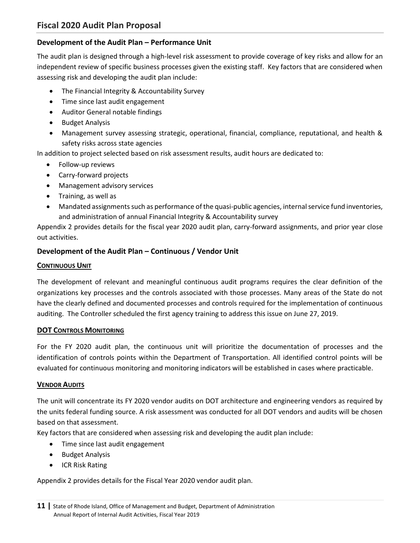# <span id="page-11-1"></span><span id="page-11-0"></span>**Development of the Audit Plan – Performance Unit**

The audit plan is designed through a high-level risk assessment to provide coverage of key risks and allow for an independent review of specific business processes given the existing staff. Key factors that are considered when assessing risk and developing the audit plan include:

- The Financial Integrity & Accountability Survey
- Time since last audit engagement
- Auditor General notable findings
- Budget Analysis
- Management survey assessing strategic, operational, financial, compliance, reputational, and health & safety risks across state agencies

In addition to project selected based on risk assessment results, audit hours are dedicated to:

- Follow-up reviews
- Carry-forward projects
- Management advisory services
- Training, as well as
- Mandated assignments such as performance of the quasi-public agencies, internal service fund inventories, and administration of annual Financial Integrity & Accountability survey

Appendix 2 provides details for the fiscal year 2020 audit plan, carry-forward assignments, and prior year close out activities.

# <span id="page-11-2"></span>**Development of the Audit Plan – Continuous / Vendor Unit**

#### **CONTINUOUS UNIT**

The development of relevant and meaningful continuous audit programs requires the clear definition of the organizations key processes and the controls associated with those processes. Many areas of the State do not have the clearly defined and documented processes and controls required for the implementation of continuous auditing. The Controller scheduled the first agency training to address this issue on June 27, 2019.

#### **DOT CONTROLS MONITORING**

For the FY 2020 audit plan, the continuous unit will prioritize the documentation of processes and the identification of controls points within the Department of Transportation. All identified control points will be evaluated for continuous monitoring and monitoring indicators will be established in cases where practicable.

#### **VENDOR AUDITS**

The unit will concentrate its FY 2020 vendor audits on DOT architecture and engineering vendors as required by the units federal funding source. A risk assessment was conducted for all DOT vendors and audits will be chosen based on that assessment.

Key factors that are considered when assessing risk and developing the audit plan include:

- Time since last audit engagement
- Budget Analysis
- ICR Risk Rating

Appendix 2 provides details for the Fiscal Year 2020 vendor audit plan.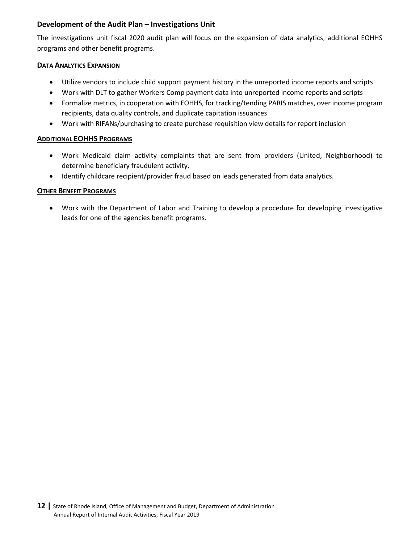# <span id="page-12-0"></span>**Development of the Audit Plan – Investigations Unit**

The investigations unit fiscal 2020 audit plan will focus on the expansion of data analytics, additional EOHHS programs and other benefit programs.

#### **DATA ANALYTICS EXPANSION**

- Utilize vendors to include child support payment history in the unreported income reports and scripts
- Work with DLT to gather Workers Comp payment data into unreported income reports and scripts
- Formalize metrics, in cooperation with EOHHS, for tracking/tending PARIS matches, over income program recipients, data quality controls, and duplicate capitation issuances
- Work with RIFANs/purchasing to create purchase requisition view details for report inclusion

#### **ADDITIONAL EOHHS PROGRAMS**

- Work Medicaid claim activity complaints that are sent from providers (United, Neighborhood) to determine beneficiary fraudulent activity.
- Identify childcare recipient/provider fraud based on leads generated from data analytics.

#### **OTHER BENEFIT PROGRAMS**

• Work with the Department of Labor and Training to develop a procedure for developing investigative leads for one of the agencies benefit programs.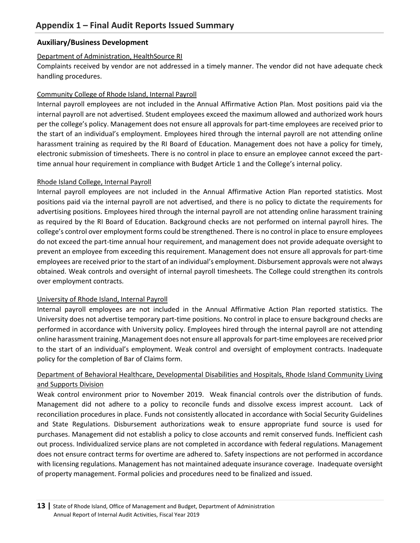# <span id="page-13-0"></span>**Auxiliary/Business Development**

### Department of Administration, HealthSource RI

Complaints received by vendor are not addressed in a timely manner. The vendor did not have adequate check handling procedures.

# Community College of Rhode Island, Internal Payroll

Internal payroll employees are not included in the Annual Affirmative Action Plan. Most positions paid via the internal payroll are not advertised. Student employees exceed the maximum allowed and authorized work hours per the college's policy. Management does not ensure all approvals for part-time employees are received prior to the start of an individual's employment. Employees hired through the internal payroll are not attending online harassment training as required by the RI Board of Education. Management does not have a policy for timely, electronic submission of timesheets. There is no control in place to ensure an employee cannot exceed the parttime annual hour requirement in compliance with Budget Article 1 and the College's internal policy.

#### Rhode Island College, Internal Payroll

Internal payroll employees are not included in the Annual Affirmative Action Plan reported statistics. Most positions paid via the internal payroll are not advertised, and there is no policy to dictate the requirements for advertising positions. Employees hired through the internal payroll are not attending online harassment training as required by the RI Board of Education. Background checks are not performed on internal payroll hires. The college's control over employment forms could be strengthened. There is no control in place to ensure employees do not exceed the part-time annual hour requirement, and management does not provide adequate oversight to prevent an employee from exceeding this requirement. Management does not ensure all approvals for part-time employees are received prior to the start of an individual's employment. Disbursement approvals were not always obtained. Weak controls and oversight of internal payroll timesheets. The College could strengthen its controls over employment contracts.

#### University of Rhode Island, Internal Payroll

Internal payroll employees are not included in the Annual Affirmative Action Plan reported statistics. The University does not advertise temporary part-time positions. No control in place to ensure background checks are performed in accordance with University policy. Employees hired through the internal payroll are not attending online harassment training. Management does not ensure all approvals for part-time employees are received prior to the start of an individual's employment. Weak control and oversight of employment contracts. Inadequate policy for the completion of Bar of Claims form.

# Department of Behavioral Healthcare, Developmental Disabilities and Hospitals, Rhode Island Community Living and Supports Division

Weak control environment prior to November 2019. Weak financial controls over the distribution of funds. Management did not adhere to a policy to reconcile funds and dissolve excess imprest account. Lack of reconciliation procedures in place. Funds not consistently allocated in accordance with Social Security Guidelines and State Regulations. Disbursement authorizations weak to ensure appropriate fund source is used for purchases. Management did not establish a policy to close accounts and remit conserved funds. Inefficient cash out process. Individualized service plans are not completed in accordance with federal regulations. Management does not ensure contract terms for overtime are adhered to. Safety inspections are not performed in accordance with licensing regulations. Management has not maintained adequate insurance coverage. Inadequate oversight of property management. Formal policies and procedures need to be finalized and issued.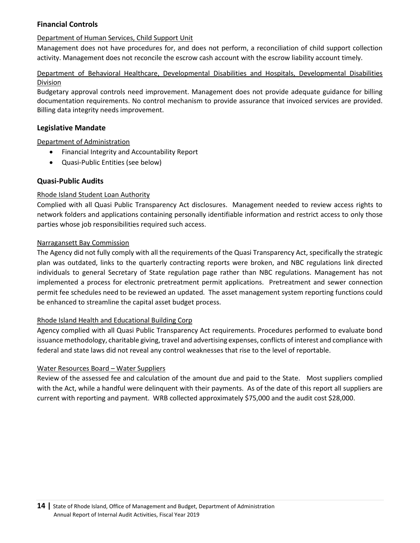# **Financial Controls**

#### Department of Human Services, Child Support Unit

Management does not have procedures for, and does not perform, a reconciliation of child support collection activity. Management does not reconcile the escrow cash account with the escrow liability account timely.

### Department of Behavioral Healthcare, Developmental Disabilities and Hospitals, Developmental Disabilities Division

Budgetary approval controls need improvement. Management does not provide adequate guidance for billing documentation requirements. No control mechanism to provide assurance that invoiced services are provided. Billing data integrity needs improvement.

#### **Legislative Mandate**

#### Department of Administration

- Financial Integrity and Accountability Report
- Quasi-Public Entities (see below)

#### **Quasi-Public Audits**

#### Rhode Island Student Loan Authority

Complied with all Quasi Public Transparency Act disclosures. Management needed to review access rights to network folders and applications containing personally identifiable information and restrict access to only those parties whose job responsibilities required such access.

#### Narragansett Bay Commission

The Agency did not fully comply with all the requirements of the Quasi Transparency Act, specifically the strategic plan was outdated, links to the quarterly contracting reports were broken, and NBC regulations link directed individuals to general Secretary of State regulation page rather than NBC regulations. Management has not implemented a process for electronic pretreatment permit applications. Pretreatment and sewer connection permit fee schedules need to be reviewed an updated. The asset management system reporting functions could be enhanced to streamline the capital asset budget process.

#### Rhode Island Health and Educational Building Corp

Agency complied with all Quasi Public Transparency Act requirements. Procedures performed to evaluate bond issuance methodology, charitable giving, travel and advertising expenses, conflicts of interest and compliance with federal and state laws did not reveal any control weaknesses that rise to the level of reportable.

#### Water Resources Board – Water Suppliers

Review of the assessed fee and calculation of the amount due and paid to the State. Most suppliers complied with the Act, while a handful were delinquent with their payments. As of the date of this report all suppliers are current with reporting and payment. WRB collected approximately \$75,000 and the audit cost \$28,000.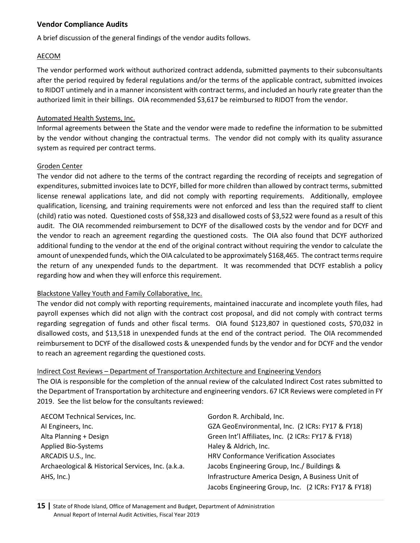# **Vendor Compliance Audits**

A brief discussion of the general findings of the vendor audits follows.

#### AECOM

The vendor performed work without authorized contract addenda, submitted payments to their subconsultants after the period required by federal regulations and/or the terms of the applicable contract, submitted invoices to RIDOT untimely and in a manner inconsistent with contract terms, and included an hourly rate greater than the authorized limit in their billings. OIA recommended \$3,617 be reimbursed to RIDOT from the vendor.

#### Automated Health Systems, Inc.

Informal agreements between the State and the vendor were made to redefine the information to be submitted by the vendor without changing the contractual terms. The vendor did not comply with its quality assurance system as required per contract terms.

#### Groden Center

The vendor did not adhere to the terms of the contract regarding the recording of receipts and segregation of expenditures, submitted invoices late to DCYF, billed for more children than allowed by contract terms, submitted license renewal applications late, and did not comply with reporting requirements. Additionally, employee qualification, licensing, and training requirements were not enforced and less than the required staff to client (child) ratio was noted. Questioned costs of \$58,323 and disallowed costs of \$3,522 were found as a result of this audit. The OIA recommended reimbursement to DCYF of the disallowed costs by the vendor and for DCYF and the vendor to reach an agreement regarding the questioned costs. The OIA also found that DCYF authorized additional funding to the vendor at the end of the original contract without requiring the vendor to calculate the amount of unexpended funds, which the OIA calculated to be approximately \$168,465. The contract terms require the return of any unexpended funds to the department. It was recommended that DCYF establish a policy regarding how and when they will enforce this requirement.

# Blackstone Valley Youth and Family Collaborative, Inc.

The vendor did not comply with reporting requirements, maintained inaccurate and incomplete youth files, had payroll expenses which did not align with the contract cost proposal, and did not comply with contract terms regarding segregation of funds and other fiscal terms. OIA found \$123,807 in questioned costs, \$70,032 in disallowed costs, and \$13,518 in unexpended funds at the end of the contract period. The OIA recommended reimbursement to DCYF of the disallowed costs & unexpended funds by the vendor and for DCYF and the vendor to reach an agreement regarding the questioned costs.

# Indirect Cost Reviews – Department of Transportation Architecture and Engineering Vendors

The OIA is responsible for the completion of the annual review of the calculated Indirect Cost rates submitted to the Department of Transportation by architecture and engineering vendors. 67 ICR Reviews were completed in FY 2019. See the list below for the consultants reviewed:

| <b>AECOM Technical Services, Inc.</b>              | Gordon R. Archibald, Inc.                            |
|----------------------------------------------------|------------------------------------------------------|
| AI Engineers, Inc.                                 | GZA GeoEnvironmental, Inc. (2 ICRs: FY17 & FY18)     |
| Alta Planning + Design                             | Green Int'l Affiliates, Inc. (2 ICRs: FY17 & FY18)   |
| <b>Applied Bio-Systems</b>                         | Haley & Aldrich, Inc.                                |
| ARCADIS U.S., Inc.                                 | HRV Conformance Verification Associates              |
| Archaeological & Historical Services, Inc. (a.k.a. | Jacobs Engineering Group, Inc./ Buildings &          |
| AHS, Inc.)                                         | Infrastructure America Design, A Business Unit of    |
|                                                    | Jacobs Engineering Group, Inc. (2 ICRs: FY17 & FY18) |

**15 |** State of Rhode Island, Office of Management and Budget, Department of Administration Annual Report of Internal Audit Activities, Fiscal Year 2019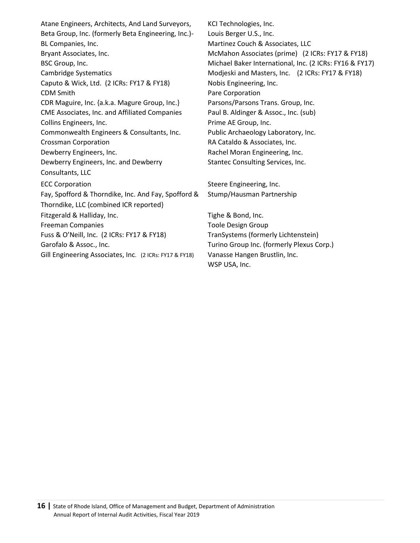Atane Engineers, Architects, And Land Surveyors, Beta Group, Inc. (formerly Beta Engineering, Inc.)-BL Companies, Inc. Bryant Associates, Inc. The McMahon Associates (prime) (2 ICRs: FY17 & FY18) Cambridge Systematics **Modieski and Masters, Inc.** (2 ICRs: FY17 & FY18) Caputo & Wick, Ltd. (2 ICRs: FY17 & FY18) Nobis Engineering, Inc. **CDM Smith Pare Corporation** CDR Maguire, Inc. {a.k.a. Magure Group, Inc.} Parsons/Parsons Trans. Group, Inc. CME Associates, Inc. and Affiliated Companies Paul B. Aldinger & Assoc., Inc. (sub) Collins Engineers, Inc. **Prime AE Group, Inc.** Prime AE Group, Inc. Commonwealth Engineers & Consultants, Inc. Public Archaeology Laboratory, Inc. Crossman Corporation **RA Cataldo & Associates, Inc. RA Cataldo & Associates**, Inc. Dewberry Engineers, Inc. The Communist Communist Rachel Moran Engineering, Inc. Dewberry Engineers, Inc. and Dewberry Consultants, LLC ECC Corporation **Steere Engineering, Inc.** Fay, Spofford & Thorndike, Inc. And Fay, Spofford & Thorndike, LLC {combined ICR reported} Fitzgerald & Halliday, Inc. Tighe & Bond, Inc. Freeman Companies Toole Design Group Fuss & O'Neill, Inc. (2 ICRs: FY17 & FY18) TranSystems (formerly Lichtenstein) Garofalo & Assoc., Inc. Turino Group Inc. (formerly Plexus Corp.) Gill Engineering Associates, Inc. (2 ICRs: FY17 & FY18) Vanasse Hangen Brustlin, Inc.

KCI Technologies, Inc. Louis Berger U.S., Inc. Martinez Couch & Associates, LLC BSC Group, Inc. **Michael Baker International, Inc. (2 ICRs: FY16 & FY17)** Michael Baker International, Inc. (2 ICRs: FY16 & FY17) Stantec Consulting Services, Inc.

Stump/Hausman Partnership

WSP USA, Inc.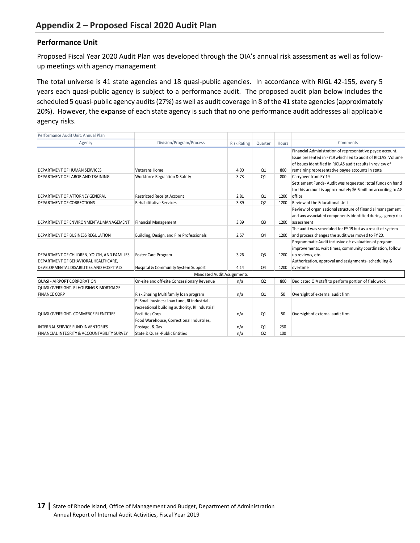#### <span id="page-17-0"></span>**Performance Unit**

Proposed Fiscal Year 2020 Audit Plan was developed through the OIA's annual risk assessment as well as followup meetings with agency management

The total universe is 41 state agencies and 18 quasi-public agencies. In accordance with RIGL 42-155, every 5 years each quasi-public agency is subject to a performance audit. The proposed audit plan below includes the scheduled 5 quasi-public agency audits (27%) as well as audit coverage in 8 of the 41 state agencies (approximately 20%). However, the expanse of each state agency is such that no one performance audit addresses all applicable agency risks.

| Performance Audit Unit: Annual Plan                    |                                                |                    |                |       |                                                                 |
|--------------------------------------------------------|------------------------------------------------|--------------------|----------------|-------|-----------------------------------------------------------------|
| Agency                                                 | Division/Program/Process                       | <b>Risk Rating</b> | Quarter        | Hours | Comments                                                        |
|                                                        |                                                |                    |                |       | Financial Administration of representative payee account.       |
|                                                        |                                                |                    |                |       | Issue presented in FY19 which led to audit of RICLAS. Volume    |
|                                                        |                                                |                    |                |       | of issues identified in RICLAS audit results in review of       |
| <b>DEPARTMENT OF HUMAN SERVICES</b>                    | Veterans Home                                  | 4.00               | Q1             | 800   | remaining representative payee accounts in state                |
| DEPARTMENT OF LABOR AND TRAINING                       | Workforce Regulation & Safety                  | 3.73               | Q1             | 800   | Carryover from FY 19                                            |
|                                                        |                                                |                    |                |       | Settlement Funds-Audit was requested; total funds on hand       |
|                                                        |                                                |                    |                |       | for this account is approximately \$6.6 million according to AG |
| <b>DEPARTMENT OF ATTORNEY GENERAL</b>                  | <b>Restricted Receipt Account</b>              | 2.81               | Q1             | 1200  | office                                                          |
| DEPARTMENT OF CORRECTIONS                              | Rehabilitative Services                        | 3.89               | Q <sub>2</sub> | 1200  | Review of the Educational Unit                                  |
|                                                        |                                                |                    |                |       | Review of organizational structure of financial management      |
|                                                        |                                                |                    |                |       | and any associated components identified during agency risk     |
| DEPARTMENT OF ENVIRONMENTAL MANAGEMENT                 | <b>Financial Management</b>                    | 3.39               | Q <sub>3</sub> | 1200  | assessment                                                      |
|                                                        |                                                |                    |                |       | The audit was scheduled for FY 19 but as a result of system     |
| DEPARTMENT OF BUSINESS REGULATION                      | Building, Design, and Fire Professionals       | 2.57               | Q4             | 1200  | and process changes the audit was moved to FY 20.               |
|                                                        |                                                |                    |                |       | Programmatic Audit inclusive of: evaluation of program          |
|                                                        |                                                |                    |                |       | improvements, wait times, community coordination, follow        |
| DEPARTMENT OF CHILDREN, YOUTH, AND FAMILIES            | Foster Care Program                            | 3.26               | Q <sub>3</sub> | 1200  | up reviews, etc.                                                |
| DEPARTMENT OF BEHAVIORAL HEALTHCARE,                   |                                                |                    |                |       | Authorization, approval and assignments- scheduling &           |
| DEVELOPMENTAL DISABILITIES AND HOSPITALS               | Hospital & Community System Support            | 4.14               | Q4             | 1200  | overtime                                                        |
|                                                        | <b>Mandated Audit Assignments</b>              |                    |                |       |                                                                 |
| <b>QUASI - AIRPORT CORPORATION</b>                     | On-site and off-site Concessionary Revenue     | n/a                | Q <sub>2</sub> | 800   | Dedicated OIA staff to perform portion of fieldwrok             |
| <b>QUASI OVERSIGHT- RI HOUSING &amp; MORTGAGE</b>      |                                                |                    |                |       |                                                                 |
| <b>FINANCE CORP</b>                                    | Risk Sharing Multifamily loan program          | n/a                | Q1             | 50    | Oversight of external audit firm                                |
|                                                        | RI Small business loan fund, RI industrial-    |                    |                |       |                                                                 |
|                                                        | recreational building authority, RI Industrial |                    |                |       |                                                                 |
| QUASI OVERSIGHT- COMMERCE RI ENTITIES                  | <b>Facilities Corp</b>                         | n/a                | Q1             | 50    | Oversight of external audit firm                                |
|                                                        | Food Warehouse, Correctional Industries,       |                    |                |       |                                                                 |
| <b>INTERNAL SERVICE FUND INVENTORIES</b>               | Postage, & Gas                                 | n/a                | Q1             | 250   |                                                                 |
| <b>FINANCIAL INTEGRITY &amp; ACCOUNTABILITY SURVEY</b> | <b>State &amp; Quasi-Public Entities</b>       | n/a                | Q2             | 100   |                                                                 |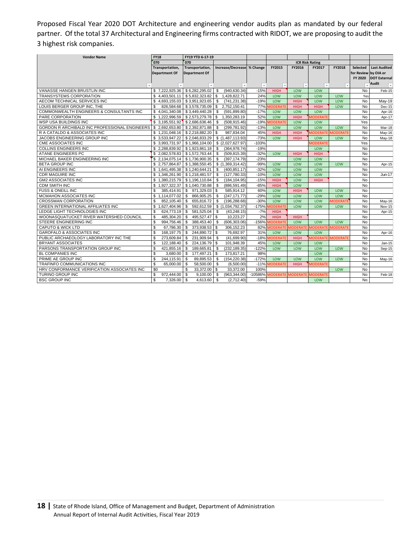Proposed Fiscal Year 2020 DOT Architecture and engineering vendor audits plan as mandated by our federal partner. Of the total 37 Architectural and Engineering firms contracted with RIDOT, we are proposing to audit the 3 highest risk companies.

| <b>Vendor Name</b>                            | <b>FY18</b>                           | FY19 YTD 6-17-19            |                                 |                          |                          |                |                 |                 |                 |                     |
|-----------------------------------------------|---------------------------------------|-----------------------------|---------------------------------|--------------------------|--------------------------|----------------|-----------------|-----------------|-----------------|---------------------|
|                                               | 070                                   | 070                         |                                 |                          | <b>ICR Risk Rating</b>   |                |                 |                 |                 |                     |
|                                               | Transportation,                       | Transportation,             | Increase/Decrease % Change      |                          | FY2015                   | FY2016         | FY2017          | FY2018          | <b>Selected</b> | <b>Last Audited</b> |
|                                               | Department Of                         | <b>Department Of</b>        |                                 |                          |                          |                |                 |                 | for Review      | by OIA or           |
|                                               |                                       |                             |                                 |                          |                          |                |                 |                 | FY 2020         | <b>DOT External</b> |
|                                               |                                       |                             |                                 |                          |                          |                |                 |                 |                 | <b>Audit</b>        |
|                                               |                                       |                             | $\mathbf{v}$                    | $\overline{\phantom{a}}$ | $\overline{\phantom{a}}$ | $\rightarrow$  |                 |                 |                 | $\mathbf{v}$        |
| VANASSE HANGEN BRUSTLIN INC                   | \$7,222,925.36                        | \$6,282,295.02              | (940, 630.34)<br>\$             | $-15%$                   | <b>HIGH</b>              | LOW            | LOW             |                 | No              | Feb-15              |
| TRANSYSTEMS CORPORATION                       | \$4,403,501.11                        | \$5,832,323.82              | S<br>1,428,822.71               | 24%                      | LOW                      | LOW            | LOW             | LOW             | Yes             |                     |
| AECOM TECHNICAL SERVICES INC                  | \$4.693.155.03                        | \$3,951,923.65              | \$<br>(741, 231.38)             | $-19%$                   | LOW                      | <b>HIGH</b>    | LOW             | LOW             | <b>No</b>       | May-19              |
| LOUIS BERGER GROUP INC. THE                   | \$<br>826.584.68                      | \$3.578.735.09              | \$.<br>2.752.150.41             | 77%                      | <b>MODERATE</b>          | <b>HIGH</b>    | <b>HIGH</b>     | LOW             | <b>No</b>       | <b>Dec-15</b>       |
| COMMONWEALTH ENGINEERS & CONSULTANTS INC      | \$4,041,340.08                        | \$3,449,440.28              | \$<br>(591, 899.80)             | $-17%$                   | LOW                      | LOW            | LOW             |                 | No              | Apr-16              |
| PARE CORPORATION                              | \$1,222,996.59                        | \$2,573,279.78              | <b>S</b><br>1,350,283.19        | 52%                      | LOW                      | <b>HIGH</b>    | <b>MODERATE</b> |                 | No              | Apr-17              |
| WSP USA BUILDINGS INC                         | \$ 3,195,551.92                       | \$2,686,636.46              | \$<br>(508, 915.46)             | $-19%$                   | <b>IODERATI</b>          | LOW            | LOW             |                 | Yes             |                     |
| GORDON R ARCHIBALD INC PROFESSIONAL ENGINEERS | \$2,692,653.80                        | \$2,392,871.88              | $\mathfrak{s}$<br>(299, 781.92) | $-13%$                   | LOW                      | LOW            | LOW             | LOW             | No              | Mar-18              |
| R A CATALDO & ASSOCIATES INC                  | \$1.231.048.16                        | \$2.218.882.20              | S<br>987.834.04                 | 45%                      | <b>HIGH</b>              | <b>HIGH</b>    | <b>AODERATE</b> | <b>MODERATE</b> | <b>No</b>       | May-16              |
| JACOBS ENGINEERING GROUP INC                  | \$3,533,947.22                        | \$2,046,833.29              | \$(1,487,113.93)                | $-73%$                   | LOW                      | <b>HIGH</b>    | LOW             | LOW             | No              | May-18              |
| CME ASSOCIATES INC                            | \$3,993,731.97                        | \$1,966,104.00              | \$ (2,027,627.97)               | $-103%$                  |                          |                | <b>MODERATE</b> |                 | Yes             |                     |
| <b>COLLINS ENGINEERS INC</b>                  | $$2,288,839.92$ $$1,923,861.18$       |                             | \$<br>(364, 978.74)             | $-19%$                   |                          |                | LOW             |                 | No              |                     |
| ATANE ENGINEERS PC                            | \$2,082,578.83                        | \$1,572,763.44              | <sup>\$</sup><br>(509, 815.39)  | $-32%$                   | LOW                      | <b>HIGH</b>    | <b>HIGH</b>     |                 | <b>No</b>       |                     |
| MICHAEL BAKER ENGINEERING INC                 | \$2,134,075.14                        | \$1,736,900.35              | <sup>\$</sup><br>(397, 174.79)  | $-23%$                   |                          | LOW            | LOW             |                 | <b>No</b>       |                     |
| <b>BETA GROUP INC</b>                         | \$2.757.864.87                        | \$1,388,550.45              | \$(1,369,314.42)                | $-99%$                   | LOW                      | LOW            | LOW             | LOW             | <b>No</b>       | Apr-15              |
| AI ENGINEERS INC                              | $$1,641,495.38 \mid $1,240,644.21$    |                             | \$<br>(400, 851.17)             | $-32%$                   | LOW                      | LOW            | LOW             |                 | No              |                     |
| <b>CDR MAGUIRE INC</b>                        | \$1.346,261.90                        | \$1,218,481.57              | \$<br>(127.780.33)              | $-10%$                   | LOW                      | LOW            | LOW             |                 | <b>No</b>       | Jun-17              |
| <b>GM2 ASSOCIATES INC</b>                     | \$1,380,215.79                        | \$1,196,110.84              | <sup>\$</sup><br>(184, 104.95)  | $-15%$                   | <b>HIGH</b>              | LOW            | <b>HIGH</b>     |                 | <b>No</b>       |                     |
| <b>CDM SMITH INC</b>                          | \$1,927,322.37                        | \$1,040,730.88              | <sup>\$</sup><br>(886, 591.49)  | $-85%$                   | <b>HIGH</b>              | LOW            |                 |                 | No              |                     |
| <b>FUSS &amp; ONEILL INC</b>                  | \$<br>385.414.91                      | $\mathfrak s$<br>971,329.03 | <b>S</b><br>585,914.12          | 60%                      | LOW                      | <b>HIGH</b>    | LOW             | LOW             | <b>No</b>       |                     |
| MCMAHON ASSOCIATES INC                        | \$1,114,077.02                        | \$<br>866,905.25            | \$<br>(247, 171.77)             | $-29%$                   | LOW                      | LOW            | LOW             | LOW             | No              |                     |
| <b>CROSSMAN CORPORATION</b>                   | \$<br>852,105.40                      | \$<br>655,816.72            | \$<br>(196, 288.68)             | $-30%$                   | LOW                      | LOW            | LOW             | <b>MODERATI</b> | No              | May-16              |
| <b>GREEN INTERNATIONAL AFFILIATES INC</b>     | 1,627,404.96<br>\$                    | \$<br>592,612.59            | \$ (1,034,792.37)               | $-175%$                  | <b>IODERATE</b>          | LOW            | LOW             | LOW             | <b>No</b>       | Nov-15              |
| LEDGE LIGHT TECHNOLOGIES INC                  | \$<br>624,773,19                      | \$<br>581.525.04            | <sup>\$</sup><br>(43.248.15)    | $-7%$                    | <b>HIGH</b>              |                |                 |                 | <b>No</b>       | Apr-15              |
| WOONASQUATUCKET RIVER WATERSHED COUNCIL       | \$<br>485.304.20                      | S.<br>495.527.47            | \$<br>10.223.27                 | 2%                       | <b>HIGH</b>              | <b>HIGH</b>    |                 |                 | <b>No</b>       |                     |
| STEERE ENGINEERING INC                        | $\overline{\mathbf{s}}$<br>994,756.46 | S.<br>388,453.40            | <b>S</b><br>(606, 303.06)       | $-156%$                  | <b>MODERATE</b>          | LOW            | LOW             | LOW             | <b>No</b>       |                     |
| <b>CAPUTO &amp; WICK LTD</b>                  | \$<br>67,786.30                       | \$<br>373,938.53            | \$<br>306, 152.23               | 82%                      | <b>1ODERATE</b>          | <b>MODERAT</b> | <b>MODERATE</b> | <b>MODERATI</b> | No              |                     |
| <b>GAROFALO &amp; ASSOCIATES INC</b>          | $\mathbb{S}$<br>168.197.75            | \$<br>244.890.72            | 76,692.97<br>$\mathbf{s}$       | 31%                      | LOW                      | LOW            | LOW             |                 | No              | Apr-16              |
| PUBLIC ARCHAEOLOGY LABORATORY INC THE         | $\mathbb{S}$<br>273.609.84            | S.<br>231.909.94            | \$<br>(41.699.90)               | $-18%$                   | <b>AODERATE</b>          | <b>HIGH</b>    | <b>MODERATE</b> | <b>MODERATE</b> | <b>No</b>       |                     |
| <b>BRYANT ASSOCIATES</b>                      | $\mathbb{S}$<br>122.188.40            | \$<br>224.136.79            | 101.948.39<br>-S                | 45%                      | LOW                      | LOW            | LOW             |                 | <b>No</b>       | Jan-15              |
| PARSONS TRANSPORTATION GROUP INC              | \$<br>421,855.16                      | \$<br>189,665.81            | <sup>\$</sup><br>(232, 189.35)  | $-122%$                  | LOW                      | LOW            | LOW             | LOW             | <b>No</b>       | Sep-15              |
| <b>BL COMPANIES INC</b>                       | \$<br>$3,680.00$ \$                   | 177,497.21                  | \$<br>173.817.21                | 98%                      |                          |                | LOW             |                 | <b>No</b>       |                     |
| PRIME AE GROUP INC                            | \$<br>244,115.91                      | \$<br>89,895.53             | \$<br>(154, 220.38)             | $-172%$                  | LOW                      | LOW            | LOW             | LOW             | <b>No</b>       | May-16              |
| TRAFINFO COMMUNICATIONS INC                   | \$<br>65,000.00                       | \$<br>58,500.00             | \$<br>(6,500.00)                | $-11%$                   | <b>MODERATE</b>          | <b>HIGH</b>    | <b>MODERATE</b> |                 | <b>No</b>       |                     |
| HRV CONFORMANCE VERIFICATION ASSOCIATES INC   | $\overline{50}$                       | \$<br>33,372.00             | $\mathbf{s}$<br>33,372.00       | 100%                     |                          |                |                 | LOW             | No              |                     |
| TURINO GROUP INC                              | \$<br>972,444.00                      | \$<br>9,100.00              | <b>S</b><br>(963, 344.00)       | -10586%                  | <b>MODERATE</b>          | <b>MODERAT</b> | <b>MODERATE</b> |                 | <b>No</b>       | Feb-18              |
| <b>BSC GROUP INC</b>                          | $\overline{\mathcal{S}}$<br>7,326.00  | Ŝ.<br>4.613.60              | <sup>\$</sup><br>(2,712.40)     | $-59%$                   |                          |                | LOW             |                 | <b>No</b>       |                     |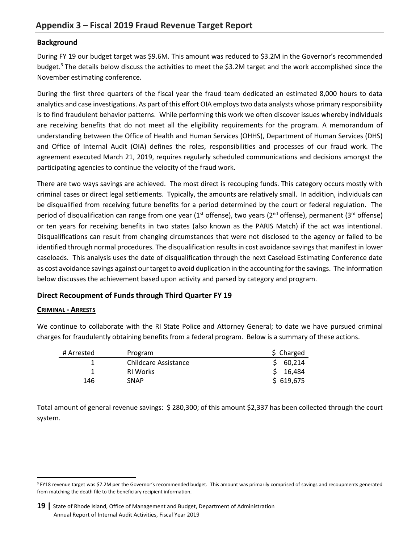# <span id="page-19-0"></span>**Background**

During FY 19 our budget target was \$9.6M. This amount was reduced to \$3.2M in the Governor's recommended budget.<sup>3</sup> The details below discuss the activities to meet the \$3.2M target and the work accomplished since the November estimating conference.

During the first three quarters of the fiscal year the fraud team dedicated an estimated 8,000 hours to data analytics and case investigations. As part of this effort OIA employs two data analysts whose primary responsibility is to find fraudulent behavior patterns. While performing this work we often discover issues whereby individuals are receiving benefits that do not meet all the eligibility requirements for the program*.* A memorandum of understanding between the Office of Health and Human Services (OHHS), Department of Human Services (DHS) and Office of Internal Audit (OIA) defines the roles, responsibilities and processes of our fraud work. The agreement executed March 21, 2019, requires regularly scheduled communications and decisions amongst the participating agencies to continue the velocity of the fraud work.

There are two ways savings are achieved. The most direct is recouping funds. This category occurs mostly with criminal cases or direct legal settlements. Typically, the amounts are relatively small. In addition, individuals can be disqualified from receiving future benefits for a period determined by the court or federal regulation. The period of disqualification can range from one year (1<sup>st</sup> offense), two years (2<sup>nd</sup> offense), permanent (3<sup>rd</sup> offense) or ten years for receiving benefits in two states (also known as the PARIS Match) if the act was intentional. Disqualifications can result from changing circumstances that were not disclosed to the agency or failed to be identified through normal procedures. The disqualification results in cost avoidance savings that manifest in lower caseloads. This analysis uses the date of disqualification through the next Caseload Estimating Conference date as cost avoidance savings against our target to avoid duplication in the accounting for the savings. The information below discusses the achievement based upon activity and parsed by category and program.

# **Direct Recoupment of Funds through Third Quarter FY 19**

#### **CRIMINAL - ARRESTS**

 $\overline{a}$ 

We continue to collaborate with the RI State Police and Attorney General; to date we have pursued criminal charges for fraudulently obtaining benefits from a federal program. Below is a summary of these actions.

| # Arrested | Program              | \$ Charged |
|------------|----------------------|------------|
|            | Childcare Assistance | 60,214     |
|            | <b>RI Works</b>      | 16,484     |
| 146        | <b>SNAP</b>          | \$619,675  |

Total amount of general revenue savings: \$ 280,300; of this amount \$2,337 has been collected through the court system.

<sup>&</sup>lt;sup>3</sup> FY18 revenue target was \$7.2M per the Governor's recommended budget. This amount was primarily comprised of savings and recoupments generated from matching the death file to the beneficiary recipient information.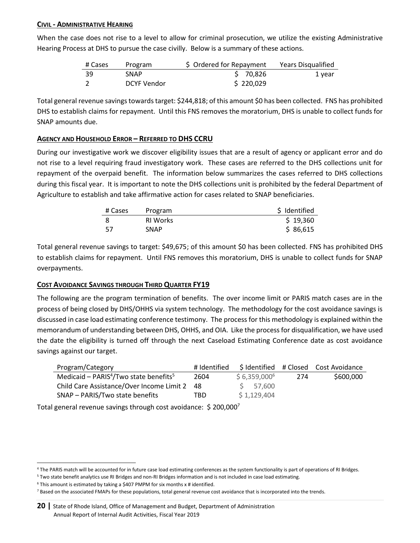### **CIVIL - ADMINISTRATIVE HEARING**

When the case does not rise to a level to allow for criminal prosecution, we utilize the existing Administrative Hearing Process at DHS to pursue the case civilly. Below is a summary of these actions.

| # Cases | Program     | \$ Ordered for Repayment | Years Disqualified |
|---------|-------------|--------------------------|--------------------|
| -39     | <b>SNAP</b> | \$70.826                 | 1 year             |
|         | DCYF Vendor | \$220,029                |                    |

Total general revenue savings towards target: \$244,818; of this amount \$0 has been collected. FNS has prohibited DHS to establish claims for repayment. Until this FNS removes the moratorium, DHS is unable to collect funds for SNAP amounts due.

#### **AGENCY AND HOUSEHOLD ERROR – REFERRED TO DHS CCRU**

During our investigative work we discover eligibility issues that are a result of agency or applicant error and do not rise to a level requiring fraud investigatory work. These cases are referred to the DHS collections unit for repayment of the overpaid benefit. The information below summarizes the cases referred to DHS collections during this fiscal year. It is important to note the DHS collections unit is prohibited by the federal Department of Agriculture to establish and take affirmative action for cases related to SNAP beneficiaries.

| # Cases | Program         | \$ Identified |
|---------|-----------------|---------------|
|         | <b>RI Works</b> | \$19,360      |
| 57      | SNAP            | \$86,615      |

Total general revenue savings to target: \$49,675; of this amount \$0 has been collected. FNS has prohibited DHS to establish claims for repayment. Until FNS removes this moratorium, DHS is unable to collect funds for SNAP overpayments.

# **COST AVOIDANCE SAVINGS THROUGH THIRD QUARTER FY19**

The following are the program termination of benefits. The over income limit or PARIS match cases are in the process of being closed by DHS/OHHS via system technology. The methodology for the cost avoidance savings is discussed in case load estimating conference testimony. The process for this methodology is explained within the memorandum of understanding between DHS, OHHS, and OIA. Like the process for disqualification, we have used the date the eligibility is turned off through the next Caseload Estimating Conference date as cost avoidance savings against our target.

| Program/Category                                               | # Identified |                |     | \$Identified #Closed Cost Avoidance |
|----------------------------------------------------------------|--------------|----------------|-----|-------------------------------------|
| Medicaid - PARIS <sup>4</sup> /Two state benefits <sup>5</sup> | 2604         | $$6,359,000^6$ | 274 | \$600,000                           |
| Child Care Assistance/Over Income Limit 2 48                   |              | \$ 57.600      |     |                                     |
| SNAP - PARIS/Two state benefits                                | TBD          | \$1,129,404    |     |                                     |

Total general revenue savings through cost avoidance: \$ 200,000<sup>7</sup>

<sup>5</sup> Two state benefit analytics use RI Bridges and non-RI Bridges information and is not included in case load estimating.

 $\overline{\phantom{a}}$ 

<sup>4</sup> The PARIS match will be accounted for in future case load estimating conferences as the system functionality is part of operations of RI Bridges.

<sup>6</sup> This amount is estimated by taking a \$407 PMPM for six months x # identified.

<sup>&</sup>lt;sup>7</sup> Based on the associated FMAPs for these populations, total general revenue cost avoidance that is incorporated into the trends.

**<sup>20</sup> |** State of Rhode Island, Office of Management and Budget, Department of Administration Annual Report of Internal Audit Activities, Fiscal Year 2019